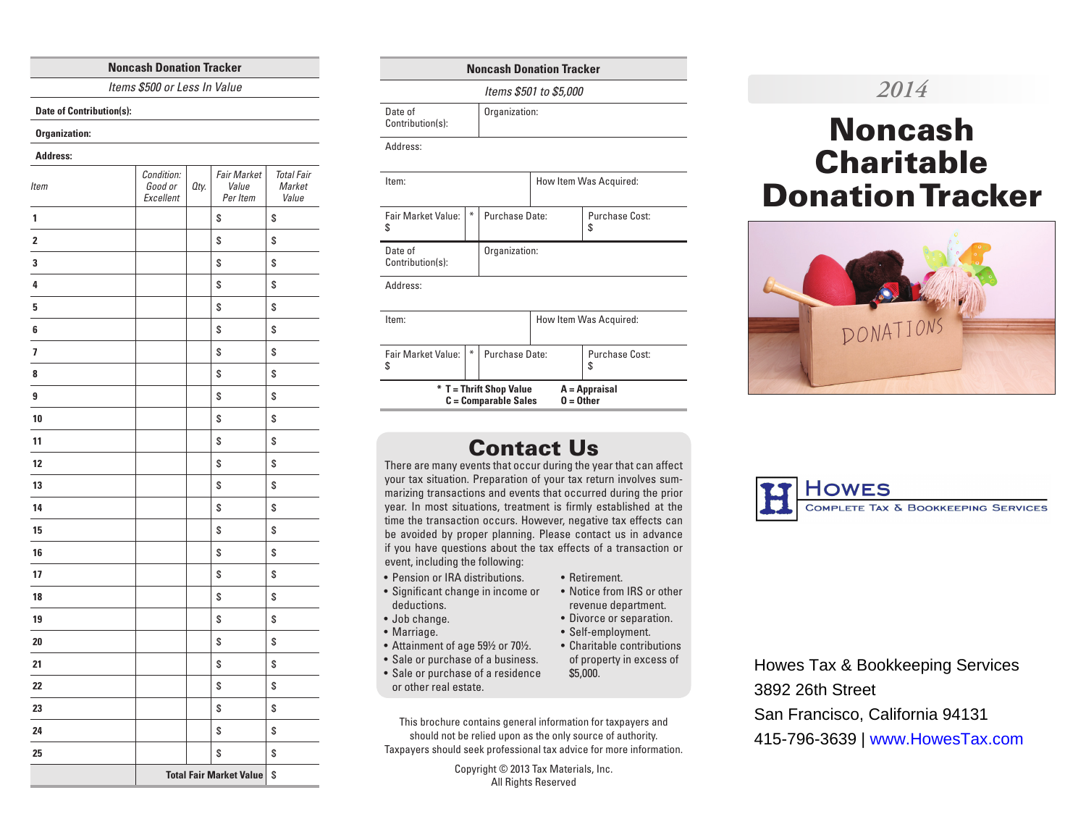#### **Noncash Donation Tracker**

*Items \$500 or Less In Value*

**Date of Contribution(s):**

#### **Organization:**

#### **Address:**

| Item                    | Condition:<br>Good or<br>Excellent | Oty. | <b>Fair Market</b><br>Value<br>Per Item | <b>Total Fair</b><br>Market<br>Value |
|-------------------------|------------------------------------|------|-----------------------------------------|--------------------------------------|
| 1                       |                                    |      | \$                                      | \$                                   |
| 2                       |                                    |      | \$                                      | \$                                   |
| 3                       |                                    |      | \$                                      | \$                                   |
| 4                       |                                    |      | \$                                      | \$                                   |
| 5                       |                                    |      | \$                                      | \$                                   |
| 6                       |                                    |      | \$                                      | \$                                   |
| $\overline{\mathbf{z}}$ |                                    |      | \$                                      | \$                                   |
| 8                       |                                    |      | \$                                      | \$                                   |
| 9                       |                                    |      | \$                                      | \$                                   |
| 10                      |                                    |      | \$                                      | \$                                   |
| 11                      |                                    |      | \$                                      | \$                                   |
| 12                      |                                    |      | \$                                      | \$                                   |
| 13                      |                                    |      | \$                                      | \$                                   |
| 14                      |                                    |      | \$                                      | \$                                   |
| 15                      |                                    |      | \$                                      | \$                                   |
| 16                      |                                    |      | \$                                      | \$                                   |
| 17                      |                                    |      | \$                                      | \$                                   |
| 18                      |                                    |      | \$                                      | \$                                   |
| 19                      |                                    |      | \$                                      | \$                                   |
| 20                      |                                    |      | \$                                      | \$                                   |
| 21                      |                                    |      | \$                                      | \$                                   |
| 22                      |                                    |      | \$                                      | \$                                   |
| 23                      |                                    |      | \$                                      | \$                                   |
| 24                      |                                    |      | \$                                      | \$                                   |
| 25                      |                                    |      | \$                                      | \$                                   |
|                         | <b>Total Fair Market Value</b>     |      |                                         | \$                                   |

## **Noncash Donation Tracker**

Organization:

*Items \$501 to \$5,000*

Date of

| Contribution(s): |  |
|------------------|--|
|------------------|--|

Address:

| Item:                                                                                   |   |                        | How Item Was Acquired: |                      |
|-----------------------------------------------------------------------------------------|---|------------------------|------------------------|----------------------|
| Fair Market Value:<br>\$                                                                | ₩ | Purchase Date:         |                        | Purchase Cost:<br>\$ |
| Date of<br>Contribution(s):                                                             |   | Organization:          |                        |                      |
| Address:                                                                                |   |                        |                        |                      |
| Item:                                                                                   |   | How Item Was Acquired: |                        |                      |
| <b>Fair Market Value:</b><br>\$                                                         | ₩ | Purchase Date:         |                        | Purchase Cost:<br>S  |
| * T = Thrift Shop Value<br>A = Appraisal<br>$0 = 0$ ther<br><b>C</b> = Comparable Sales |   |                        |                        |                      |

# Contact Us

There are many events that occur during the year that can affect your tax situation. Preparation of your tax return involves summarizing transactions and events that occurred during the prior year. In most situations, treatment is firmly established at the time the transaction occurs. However, negative tax effects can be avoided by proper planning. Please contact us in advance if you have questions about the tax effects of a transaction or event, including the following:

- Pension or IRA distributions.
- Significant change in income or deductions.
- Job change.
- Marriage.
- Attainment of age 59½ or 70½.
- Sale or purchase of a business. • Sale or purchase of a residence
- or other real estate.

This brochure contains general information for taxpayers and should not be relied upon as the only source of authority. Taxpayers should seek professional tax advice for more information.

> Copyright © 2013 Tax Materials, Inc. All Rights Reserved

# *2014*

# Noncash **Charitable** Donation Tracker





Howes Tax & Bookkeeping Services 3892 26th Street San Francisco, California 94131 415-796-3639 | www.HowesTax.com

of property in excess of \$5,000.

• Notice from IRS or other revenue department. • Divorce or separation. • Self-employment. • Charitable contributions

• Retirement.